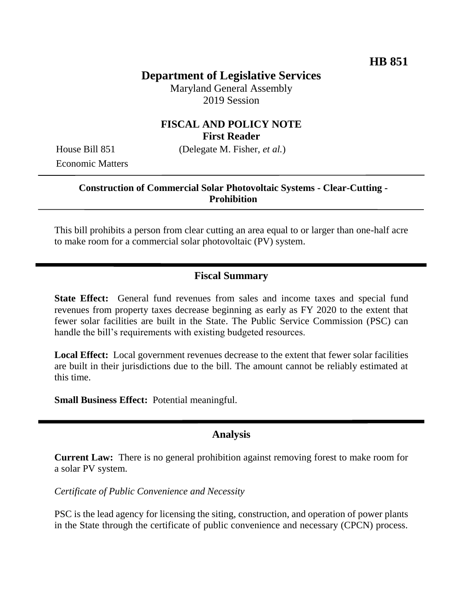# **Department of Legislative Services**

Maryland General Assembly 2019 Session

#### **FISCAL AND POLICY NOTE First Reader**

Economic Matters

House Bill 851 (Delegate M. Fisher, *et al.*)

#### **Construction of Commercial Solar Photovoltaic Systems - Clear-Cutting - Prohibition**

This bill prohibits a person from clear cutting an area equal to or larger than one-half acre to make room for a commercial solar photovoltaic (PV) system.

### **Fiscal Summary**

**State Effect:** General fund revenues from sales and income taxes and special fund revenues from property taxes decrease beginning as early as FY 2020 to the extent that fewer solar facilities are built in the State. The Public Service Commission (PSC) can handle the bill's requirements with existing budgeted resources.

**Local Effect:** Local government revenues decrease to the extent that fewer solar facilities are built in their jurisdictions due to the bill. The amount cannot be reliably estimated at this time.

**Small Business Effect:** Potential meaningful.

### **Analysis**

**Current Law:** There is no general prohibition against removing forest to make room for a solar PV system.

*Certificate of Public Convenience and Necessity*

PSC is the lead agency for licensing the siting, construction, and operation of power plants in the State through the certificate of public convenience and necessary (CPCN) process.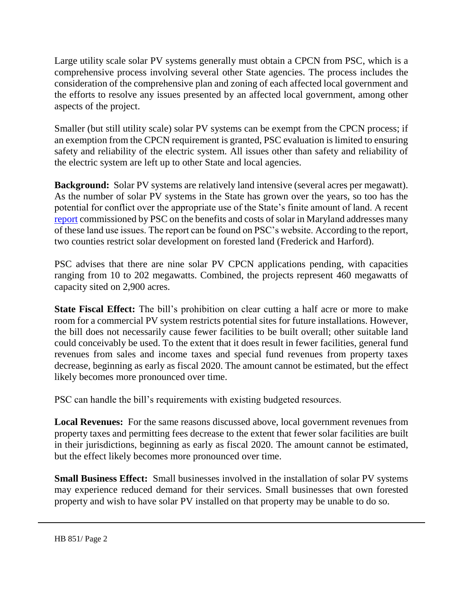Large utility scale solar PV systems generally must obtain a CPCN from PSC, which is a comprehensive process involving several other State agencies. The process includes the consideration of the comprehensive plan and zoning of each affected local government and the efforts to resolve any issues presented by an affected local government, among other aspects of the project.

Smaller (but still utility scale) solar PV systems can be exempt from the CPCN process; if an exemption from the CPCN requirement is granted, PSC evaluation is limited to ensuring safety and reliability of the electric system. All issues other than safety and reliability of the electric system are left up to other State and local agencies.

**Background:** Solar PV systems are relatively land intensive (several acres per megawatt). As the number of solar PV systems in the State has grown over the years, so too has the potential for conflict over the appropriate use of the State's finite amount of land. A recent [report](https://webapp.psc.state.md.us/newIntranet/Casenum/NewIndex3_VOpenFile.cfm?filepath=C:/AdminDocket/PublicConferences/PC44/145//MDVoSReportFinal11-2-2018.pdf) commissioned by PSC on the benefits and costs of solar in Maryland addresses many of these land use issues. The report can be found on PSC's website. According to the report, two counties restrict solar development on forested land (Frederick and Harford).

PSC advises that there are nine solar PV CPCN applications pending, with capacities ranging from 10 to 202 megawatts. Combined, the projects represent 460 megawatts of capacity sited on 2,900 acres.

**State Fiscal Effect:** The bill's prohibition on clear cutting a half acre or more to make room for a commercial PV system restricts potential sites for future installations. However, the bill does not necessarily cause fewer facilities to be built overall; other suitable land could conceivably be used. To the extent that it does result in fewer facilities, general fund revenues from sales and income taxes and special fund revenues from property taxes decrease, beginning as early as fiscal 2020. The amount cannot be estimated, but the effect likely becomes more pronounced over time.

PSC can handle the bill's requirements with existing budgeted resources.

**Local Revenues:** For the same reasons discussed above, local government revenues from property taxes and permitting fees decrease to the extent that fewer solar facilities are built in their jurisdictions, beginning as early as fiscal 2020. The amount cannot be estimated, but the effect likely becomes more pronounced over time.

**Small Business Effect:** Small businesses involved in the installation of solar PV systems may experience reduced demand for their services. Small businesses that own forested property and wish to have solar PV installed on that property may be unable to do so.